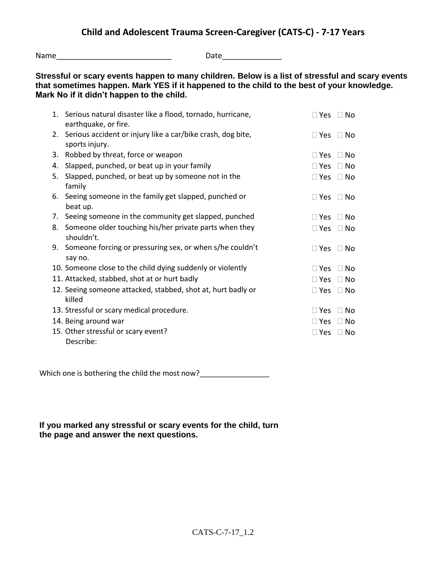Name\_\_\_\_\_\_\_\_\_\_\_\_\_\_\_\_\_\_\_\_\_\_\_\_\_\_\_ Date\_\_\_\_\_\_\_\_\_\_\_\_\_\_

**Stressful or scary events happen to many children. Below is a list of stressful and scary events that sometimes happen. Mark YES if it happened to the child to the best of your knowledge. Mark No if it didn't happen to the child.**

|    | 1. Serious natural disaster like a flood, tornado, hurricane,<br>earthquake, or fire. | $\Box$ Yes $\Box$ No |           |
|----|---------------------------------------------------------------------------------------|----------------------|-----------|
|    | 2. Serious accident or injury like a car/bike crash, dog bite,<br>sports injury.      | $\Box$ Yes           | $\Box$ No |
| 3. | Robbed by threat, force or weapon                                                     | $\square$ Yes        | $\Box$ No |
| 4. | Slapped, punched, or beat up in your family                                           | $\Box$ Yes           | $\Box$ No |
| 5. | Slapped, punched, or beat up by someone not in the<br>family                          | $\square$ Yes        | $\Box$ No |
|    | 6. Seeing someone in the family get slapped, punched or<br>beat up.                   | $\square$ Yes        | $\Box$ No |
|    | 7. Seeing someone in the community get slapped, punched                               | $\Box$ Yes           | $\Box$ No |
| 8. | Someone older touching his/her private parts when they<br>shouldn't.                  | $\Box$ Yes           | $\Box$ No |
|    | 9. Someone forcing or pressuring sex, or when s/he couldn't<br>say no.                | $\Box$ Yes           | $\Box$ No |
|    | 10. Someone close to the child dying suddenly or violently                            | $\Box$ Yes           | $\Box$ No |
|    | 11. Attacked, stabbed, shot at or hurt badly                                          | $\Box$ Yes           | $\Box$ No |
|    | 12. Seeing someone attacked, stabbed, shot at, hurt badly or<br>killed                | $\square$ Yes        | $\Box$ No |
|    | 13. Stressful or scary medical procedure.                                             | $\Box$ Yes           | $\Box$ No |
|    | 14. Being around war                                                                  | $\Box$ Yes           | $\Box$ No |
|    | 15. Other stressful or scary event?<br>Describe:                                      | $\Box$ Yes           | $\Box$ No |

Which one is bothering the child the most now?\_\_\_\_\_\_\_\_\_\_\_\_\_\_\_\_\_\_\_\_\_\_\_\_\_\_\_\_\_\_\_\_\_\_

**If you marked any stressful or scary events for the child, turn the page and answer the next questions.**